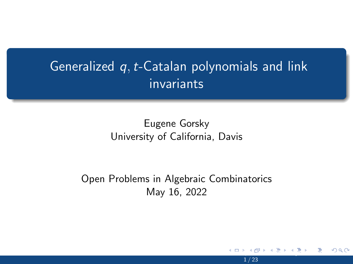## <span id="page-0-0"></span>Generalized  $q, t$ -Catalan polynomials and link invariants

### Eugene Gorsky University of California, Davis

#### Open Problems in Algebraic Combinatorics May 16, 2022

<u>Pr[ob](#page-1-0)[lem](#page-0-0)[s i](#page-1-0)[n](#page-2-0) [Alg](#page-0-0)[eb](#page-1-0)[rai](#page-2-0)c Power</u>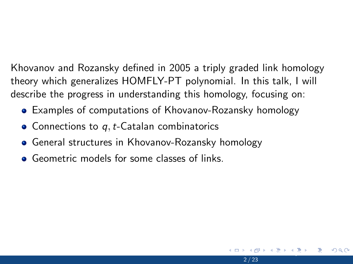<span id="page-1-0"></span>Khovanov and Rozansky defined in 2005 a triply graded link homology theory which generalizes HOMFLY-PT polynomial. In this talk, I will describe the progress in understanding this homology, focusing on:

<u>Pr[ob](#page-2-0)[lem](#page-0-0)[s i](#page-1-0)[n](#page-2-0) [Alg](#page-0-0)[eb](#page-1-0)[rai](#page-2-0)c Power</u>

- Examples of computations of Khovanov-Rozansky homology
- $\bullet$  Connections to q, t-Catalan combinatorics
- General structures in Khovanov-Rozansky homology
- **Geometric models for some classes of links**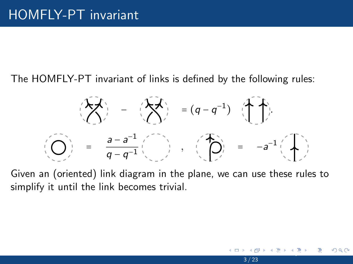<span id="page-2-0"></span>The HOMFLY-PT invariant of links is defined by the following rules:



Given an (oriented) link diagram in the plane, we can use these rules to simplify it until the link becomes trivial.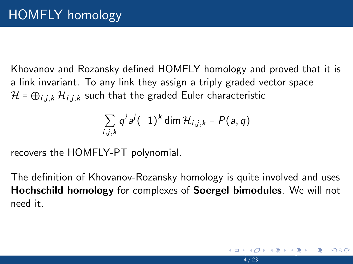<span id="page-3-0"></span>Khovanov and Rozansky defined HOMFLY homology and proved that it is a link invariant. To any link they assign a triply graded vector space  $\mathcal{H} = \bigoplus_{i,j,k} \mathcal{H}_{i,j,k}$  such that the graded Euler characteristic

$$
\sum_{i,j,k} q^i a^j (-1)^k \dim \mathcal{H}_{i,j,k} = P(a,q)
$$

recovers the HOMFLY-PT polynomial.

The definition of Khovanov-Rozansky homology is quite involved and uses Hochschild homology for complexes of Soergel bimodules. We will not need it.

[Op](#page-4-0)[en](#page-2-0) [Pr](#page-3-0)[ob](#page-4-0)[le](#page-2-0)[m](#page-3-0)[s i](#page-6-0)[n](#page-7-0) [Al](#page-2-0)[g](#page-3-0)[eb](#page-6-0)[rai](#page-7-0)[c C](#page-0-0)[ombi](#page-22-0)natorics May 16, 2022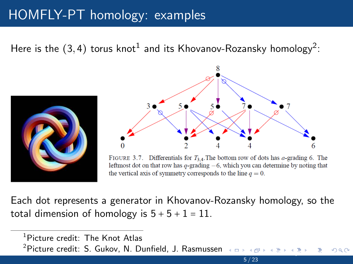### <span id="page-4-0"></span>[HOMFLY-PT homology: examples](#page-3-0)

Here is the  $(3,4)$  torus knot $^1$  and its Khovanov-Rozansky homology $^2$ :





FIGURE 3.7. Differentials for  $T_{3,4}$ . The bottom row of dots has *a*-grading 6. The leftmost dot on that row has  $q$ -grading  $-6$ , which you can determine by noting that the vertical axis of symmetry corresponds to the line  $q = 0$ .

Each dot represents a generator in Khovanov-Rozansky homology, so the total dimension of homology is  $5 + 5 + 1 = 11$ .

<sup>1</sup>Picture credit: The Knot Atlas

 $2$ Picture credit: S. Gukov, N. Dunfield, J. Rasmuss[en](#page-3-0)  $\longleftrightarrow$  $\longleftrightarrow$  $\longleftrightarrow$  $\longleftrightarrow$  $\longleftrightarrow$  a[n](#page-7-0)d  $\longleftrightarrow$   $\longleftrightarrow$   $\Rightarrow$   $\longleftrightarrow$   $\Rightarrow$   $\longleftrightarrow$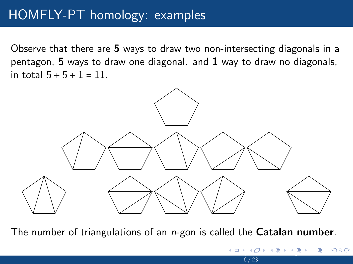### <span id="page-5-0"></span>[HOMFLY-PT homology: examples](#page-3-0)

Observe that there are 5 ways to draw two non-intersecting diagonals in a pentagon,  $5$  ways to draw one diagonal. and  $1$  way to draw no diagonals, in total  $5 + 5 + 1 = 11$ .



The number of triangulations of an *n*-gon is called the **Catalan number**.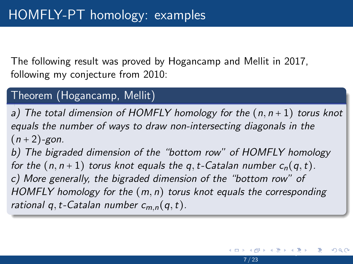<span id="page-6-0"></span>The following result was proved by Hogancamp and Mellit in 2017, following my conjecture from 2010:

### Theorem (Hogancamp, Mellit)

a) The total dimension of HOMFLY homology for the  $(n, n+1)$  torus knot equals the number of ways to draw non-intersecting diagonals in the  $(n+2)$ -gon.

b) The bigraded dimension of the "bottom row" of HOMFLY homology for the  $(n, n+1)$  torus knot equals the q, t-Catalan number  $c_n(q, t)$ . c) More generally, the bigraded dimension of the "bottom row" of HOMFLY homology for the  $(m, n)$  torus knot equals the corresponding rational q, t-Catalan number  $c_{m,n}(q,t)$ .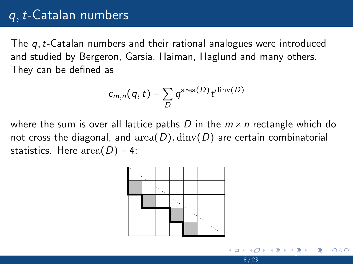### <span id="page-7-0"></span>q,t[-Catalan numbers](#page-7-0)

The q, t-Catalan numbers and their rational analogues were introduced and studied by Bergeron, Garsia, Haiman, Haglund and many others. They can be defined as

$$
c_{m,n}(q,t)=\sum_{D}q^{{\rm area}(D)}t^{{\rm dimv}(D)}
$$

where the sum is over all lattice paths D in the  $m \times n$  rectangle which do not cross the diagonal, and  $area(D)$ ,  $dim(y)$  are certain combinatorial statistics. Here  $area(D) = 4$ :



<u>Pr[ob](#page-8-0)[le](#page-6-0)[m](#page-7-0)[s i](#page-10-0)[n](#page-11-0) [Al](#page-6-0)[g](#page-7-0)[eb](#page-10-0)[rai](#page-11-0)c Power</u>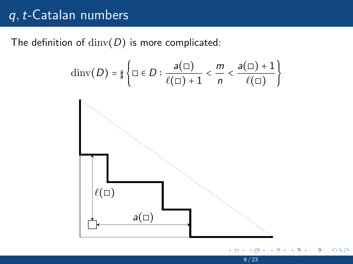### <span id="page-8-0"></span> $q, t$ [-Catalan numbers](#page-7-0)

The definition of  $\dim(V)$  is more complicated:

$$
\dim(V(D)) = \sharp \left\{ \Box \in D : \frac{a(\Box)}{\ell(\Box) + 1} < \frac{m}{n} < \frac{a(\Box) + 1}{\ell(\Box)} \right\}
$$



<u>Pr[ob](#page-9-0)[le](#page-6-0)[m](#page-7-0)[s i](#page-10-0)[n](#page-11-0) [Al](#page-6-0)[g](#page-7-0)[eb](#page-10-0)[rai](#page-11-0)c Power</u>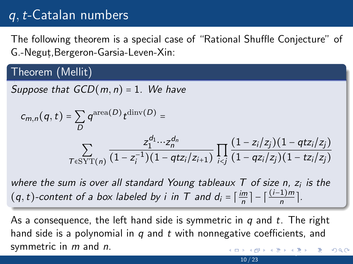## <span id="page-9-0"></span>q,t[-Catalan numbers](#page-7-0)

The following theorem is a special case of "Rational Shuffle Conjecture" of G.-Negut,,Bergeron-Garsia-Leven-Xin:

#### Theorem (Mellit)

Suppose that  $GCD(m, n) = 1$ . We have

$$
c_{m,n}(q,t) = \sum_{D} q^{\text{area}(D)} t^{\text{dinv}(D)} =
$$
  

$$
\sum_{T \in \text{SYT}(n)} \frac{z_1^{d_1} \cdots z_n^{d_n}}{(1 - z_i^{-1})(1 - qtz_i/z_{i+1})} \prod_{i < j} \frac{(1 - z_i/z_j)(1 - qtz_i/z_j)}{(1 - qz_i/z_j)(1 - tz_i/z_j)}
$$

where the sum is over all standard Young tableaux  $\tau$  of size n,  $z_i$  is the  $(q, t)$ -content of a box labeled by i in T and  $d_i = \lceil \frac{im}{n} \rceil$  $\left\lfloor \frac{m}{n} \right\rfloor - \left\lceil \frac{(i-1)m}{n} \right\rceil$  $\frac{1}{n}$ ].

As a consequence, the left hand side is symmetric in  $q$  and  $t$ . The right hand side is a polynomial in  $q$  and  $t$  with nonnegative coefficients, and symmetric in  $m$  and  $n$ . [Op](#page-10-0)[en](#page-8-0) [Pr](#page-9-0)[ob](#page-10-0)[le](#page-6-0)[m](#page-7-0)[s i](#page-10-0)[n](#page-11-0) [Al](#page-6-0)[g](#page-7-0)[eb](#page-10-0)[rai](#page-11-0)[c C](#page-0-0)[ombi](#page-22-0)natorics May 16, 2022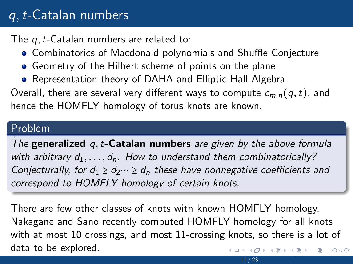## <span id="page-10-0"></span>q,t[-Catalan numbers](#page-7-0)

The q, t-Catalan numbers are related to:

- Combinatorics of Macdonald polynomials and Shuffle Conjecture
- Geometry of the Hilbert scheme of points on the plane
- Representation theory of DAHA and Elliptic Hall Algebra

Overall, there are several very different ways to compute  $c_{m,n}(q,t)$ , and hence the HOMFLY homology of torus knots are known.

#### Problem

The generalized  $q, t$ -Catalan numbers are given by the above formula with arbitrary  $d_1, \ldots, d_n$ . How to understand them combinatorically? Conjecturally, for  $d_1 \geq d_2 \cdots \geq d_n$  these have nonnegative coefficients and correspond to HOMFLY homology of certain knots.

There are few other classes of knots with known HOMFLY homology. Nakagane and Sano recently computed HOMFLY homology for all knots with at most 10 crossings, and most 11-crossing knots, so there is a lot of data to be explored. [Op](#page-11-0)[en](#page-9-0) [Pr](#page-10-0)[ob](#page-11-0)[le](#page-6-0)[m](#page-7-0)[s i](#page-10-0)[n](#page-11-0) [Al](#page-6-0)[g](#page-7-0)[eb](#page-10-0)[rai](#page-11-0)[c C](#page-0-0)[ombi](#page-22-0)natorics May 16, 2022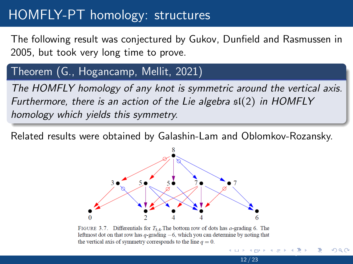### <span id="page-11-0"></span>[HOMFLY-PT homology: structures](#page-11-0)

The following result was conjectured by Gukov, Dunfield and Rasmussen in 2005, but took very long time to prove.

### Theorem (G., Hogancamp, Mellit, 2021)

The HOMFLY homology of any knot is symmetric around the vertical axis. Furthermore, there is an action of the Lie algebra  $\mathfrak{sl}(2)$  in HOMFLY homology which yields this symmetry.

Related results were obtained by Galashin-Lam and Oblomkov-Rozansky.



FIGURE 3.7. Differentials for  $T_{3,4}$ . The bottom row of dots has *a*-grading 6. The leftmost dot on that row has  $q$ -grading  $-6$ , which you can determine by noting that the vertical axis of symmetry corresponds to the line  $q = 0$ .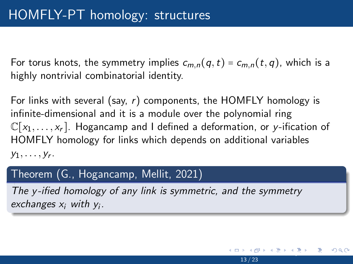<span id="page-12-0"></span>For torus knots, the symmetry implies  $c_{m,n}(q,t) = c_{m,n}(t,q)$ , which is a highly nontrivial combinatorial identity.

For links with several (say,  $r$ ) components, the HOMFLY homology is infinite-dimensional and it is a module over the polynomial ring  $\mathbb{C}[x_1,\ldots,x_r]$ . Hogancamp and I defined a deformation, or y-ification of HOMFLY homology for links which depends on additional variables  $y_1, \ldots, y_r$ .

 $\triangleright$  $\triangleright$  $\triangleright$  $\triangleright$  $\triangleright$  4 [Pr](#page-12-0)[ob](#page-13-0)le[m](#page-11-0)[s i](#page-13-0)[n](#page-14-0) [Al](#page-10-0)g[eb](#page-13-0)[rai](#page-14-0)[c C](#page-0-0)[ombi](#page-22-0)natorics May  $\triangleright$ 

13 / 23

### Theorem (G., Hogancamp, Mellit, 2021)

The y-ified homology of any link is symmetric, and the symmetry exchanges  $x_i$  with  $y_i$ .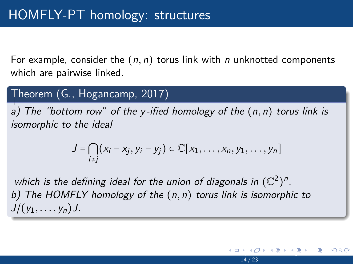<span id="page-13-0"></span>For example, consider the  $(n, n)$  torus link with n unknotted components which are pairwise linked.

### Theorem (G., Hogancamp, 2017)

a) The "bottom row" of the y-ified homology of the  $(n, n)$  torus link is isomorphic to the ideal

$$
J=\bigcap_{i\neq j}(x_i-x_j,y_i-y_j)\subset\mathbb{C}[x_1,\ldots,x_n,y_1,\ldots,y_n]
$$

which is the defining ideal for the union of diagonals in  $(\mathbb{C}^2)^n$ . b) The HOMFLY homology of the  $(n, n)$  torus link is isomorphic to  $J/(y_1, \ldots, y_n)J$ .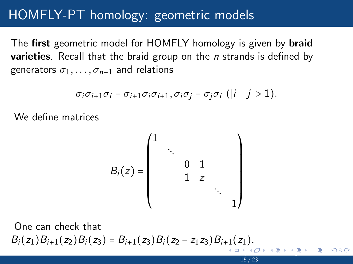### <span id="page-14-0"></span>[HOMFLY-PT homology: geometric models](#page-14-0)

The first geometric model for HOMFLY homology is given by **braid varieties**. Recall that the braid group on the  $n$  strands is defined by generators  $\sigma_1, \ldots, \sigma_{n-1}$  and relations

$$
\sigma_i \sigma_{i+1} \sigma_i = \sigma_{i+1} \sigma_i \sigma_{i+1}, \sigma_i \sigma_j = \sigma_j \sigma_i \ (|i-j|>1).
$$

We define matrices

$$
B_i(z) = \begin{pmatrix} 1 & & & & & \\ & \ddots & & & & \\ & & 0 & 1 & & \\ & & 1 & z & & \\ & & & & \ddots & \\ & & & & & 1 \end{pmatrix}
$$

One can check that  $B_i(z_1)B_{i+1}(z_2)B_i(z_3) = B_{i+1}(z_3)B_i(z_2 - z_1z_3)B_{i+1}(z_1).$  $B_i(z_1)B_{i+1}(z_2)B_i(z_3) = B_{i+1}(z_3)B_i(z_2 - z_1z_3)B_{i+1}(z_1).$  $B_i(z_1)B_{i+1}(z_2)B_i(z_3) = B_{i+1}(z_3)B_i(z_2 - z_1z_3)B_{i+1}(z_1).$ <u>Pr[ob](#page-15-0)[le](#page-13-0)[m](#page-14-0)[s in](#page-22-0) [Al](#page-13-0)[g](#page-14-0)[ebrai](#page-22-0)c Power</u>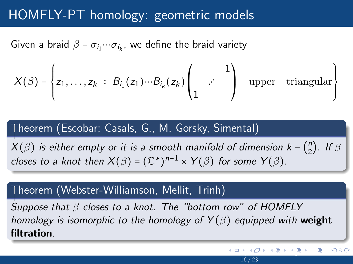### <span id="page-15-0"></span>[HOMFLY-PT homology: geometric models](#page-14-0)

Given a braid  $\beta = \sigma_{i_1} \cdots \sigma_{i_k}$ , we define the braid variety

$$
X(\beta) = \begin{cases} z_1, \ldots, z_k \; : \; B_{i_1}(z_1) \cdots B_{i_k}(z_k) \begin{pmatrix} 1 \\ 1 \end{pmatrix} \quad \text{upper-triangular} \end{cases}
$$

#### Theorem (Escobar; Casals, G., M. Gorsky, Simental)

 $X(\beta)$  is either empty or it is a smooth manifold of dimension k –  ${n \choose 2}$  $n\choose 2$ . If  $\beta$ closes to a knot then  $X(\beta) = (\mathbb{C}^*)^{n-1} \times Y(\beta)$  for some  $Y(\beta)$ .

#### Theorem (Webster-Williamson, Mellit, Trinh)

Suppose that  $\beta$  closes to a knot. The "bottom row" of HOMFLY homology is isomorphic to the homology of  $Y(\beta)$  equipped with weight filtration.

[Op](#page-16-0)[en](#page-14-0) [Pr](#page-15-0)[ob](#page-16-0)[le](#page-13-0)[m](#page-14-0)[s in](#page-22-0) [Al](#page-13-0)[g](#page-14-0)[ebrai](#page-22-0)[c C](#page-0-0)[ombi](#page-22-0)natorics May 16, 2022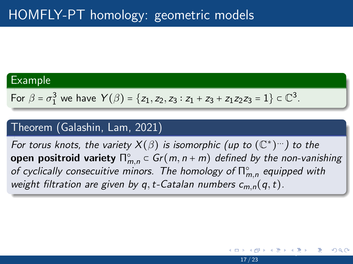#### <span id="page-16-0"></span>Example

For 
$$
\beta = \sigma_1^3
$$
 we have  $Y(\beta) = \{z_1, z_2, z_3 : z_1 + z_3 + z_1z_2z_3 = 1\} \subset \mathbb{C}^3$ .

### Theorem (Galashin, Lam, 2021)

For torus knots, the variety  $X(\beta)$  is isomorphic (up to  $(\mathbb{C}^*)^{\dots}$ ) to the open positroid variety  $\sqcap_{m,n}^{\circ} \subset Gr(m,n+m)$  defined by the non-vanishing of cyclically consecuitive minors. The homology of  $\mathsf{\Pi}^{\circ}_{m,n}$  equipped with weight filtration are given by q, t-Catalan numbers  $c_{m,n}(q,t)$ .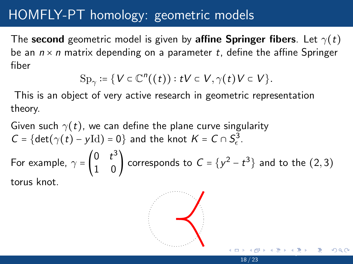### <span id="page-17-0"></span>[HOMFLY-PT homology: geometric models](#page-14-0)

The second geometric model is given by affine Springer fibers. Let  $\gamma(t)$ be an  $n \times n$  matrix depending on a parameter t, define the affine Springer fiber

$$
\mathrm{Sp}_\gamma\coloneqq\bigl\{V\in\mathbb{C}^n\bigl((t)\bigr):tV\subset V,\gamma(t)V\subset V\bigr\}.
$$

This is an object of very active research in geometric representation theory.

Given such  $\gamma(t)$ , we can define the plane curve singularity  $C = \{ \det(\gamma(t) - y \text{Id}) = 0 \}$  and the knot  $K = C \cap S^3_{\epsilon}$ . For example,  $\gamma = \begin{pmatrix} 0 & t^3 \\ 1 & 0 \end{pmatrix}$  $\begin{pmatrix} 0 & t \\ 1 & 0 \end{pmatrix}$  corresponds to  $C = \{y^2 - t^3\}$  and to the  $(2,3)$ torus knot.

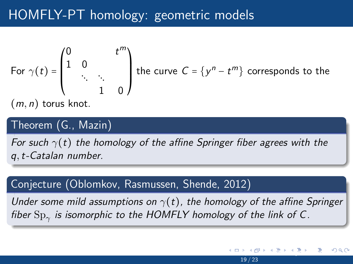## <span id="page-18-0"></span>[HOMFLY-PT homology: geometric models](#page-14-0)

For 
$$
\gamma(t) = \begin{pmatrix} 0 & t^m \\ 1 & 0 \\ \vdots & \vdots \\ 1 & 0 \end{pmatrix}
$$
 the curve  $C = \{y^n - t^m\}$  corresponds to the

 $(m, n)$  torus knot.

### Theorem (G., Mazin)

For such  $\gamma(t)$  the homology of the affine Springer fiber agrees with the q,t-Catalan number.

#### Conjecture (Oblomkov, Rasmussen, Shende, 2012)

Under some mild assumptions on  $\gamma(t)$ , the homology of the affine Springer fiber  $\mathrm{Sp}_\gamma$  is isomorphic to the HOMFLY homology of the link of C.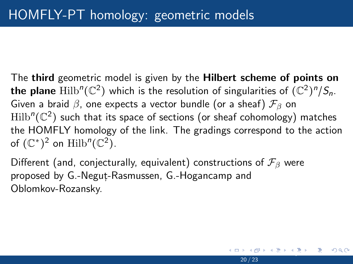<span id="page-19-0"></span>The third geometric model is given by the **Hilbert scheme of points on the plane**  $\mathrm{Hilb}^n(\mathbb{C}^2)$  which is the resolution of singularities of  $(\mathbb{C}^2)^n/S_n.$ Given a braid  $\beta$ , one expects a vector bundle (or a sheaf)  $\mathcal{F}_{\beta}$  on  $\mathrm{Hilb}^n(\mathbb{C}^2)$  such that its space of sections (or sheaf cohomology) matches the HOMFLY homology of the link. The gradings correspond to the action of  $(\mathbb{C}^*)^2$  on  $\text{Hilb}^n(\mathbb{C}^2)$ .

Different (and, conjecturally, equivalent) constructions of  $\mathcal{F}_{\beta}$  were proposed by G.-Negut-Rasmussen, G.-Hogancamp and Oblomkov-Rozansky.

 $P$  and  $P$  in Algebraic Co[m](#page-14-0)binatori[c C](#page-0-0)[ombi](#page-22-0)natoric Combinatoric Combinatoric Combinatoric Combinatorics May 16, 2022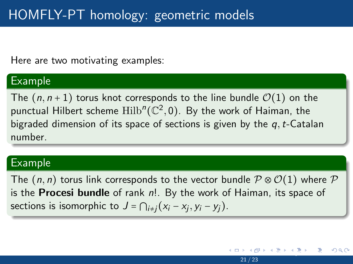<span id="page-20-0"></span>Here are two motivating examples:

#### Example

The  $(n, n+1)$  torus knot corresponds to the line bundle  $\mathcal{O}(1)$  on the punctual Hilbert scheme  $\mathrm{Hilb}^n(\mathbb{C}^2,0).$  By the work of Haiman, the bigraded dimension of its space of sections is given by the  $q, t$ -Catalan number.

#### Example

The  $(n, n)$  torus link corresponds to the vector bundle  $\mathcal{P} \otimes \mathcal{O}(1)$  where  $\mathcal{P}$ is the **Procesi bundle** of rank  $n!$ . By the work of Haiman, its space of sections is isomorphic to  $J = \bigcap_{i \neq j} (x_i - x_j, y_i - y_j)$ .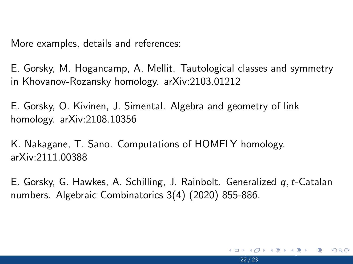<span id="page-21-0"></span>More examples, details and references:

E. Gorsky, M. Hogancamp, A. Mellit. Tautological classes and symmetry in Khovanov-Rozansky homology. arXiv:2103.01212

E. Gorsky, O. Kivinen, J. Simental. Algebra and geometry of link homology. arXiv:2108.10356

K. Nakagane, T. Sano. Computations of HOMFLY homology. arXiv:2111.00388

E. Gorsky, G. Hawkes, A. Schilling, J. Rainbolt. Generalized  $q, t$ -Catalan numbers. Algebraic Combinatorics 3(4) (2020) 855-886.

 $A \equiv A + B$  in  $B$  in  $A \cap C$